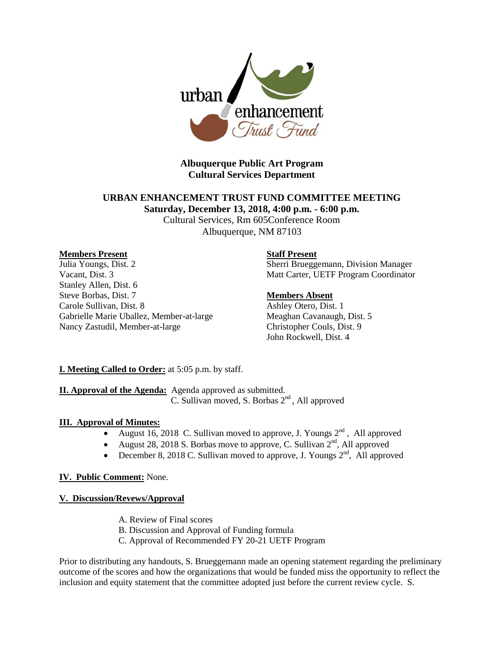

# **Albuquerque Public Art Program Cultural Services Department**

# **URBAN ENHANCEMENT TRUST FUND COMMITTEE MEETING Saturday, December 13, 2018, 4:00 p.m. - 6:00 p.m.**

Cultural Services, Rm 605Conference Room Albuquerque, NM 87103

#### **Members Present**

Julia Youngs, Dist. 2 Vacant, Dist. 3 Stanley Allen, Dist. 6 Steve Borbas, Dist. 7 Carole Sullivan, Dist. 8 Gabrielle Marie Uballez, Member-at-large Nancy Zastudil, Member-at-large

#### **Staff Present**

Sherri Brueggemann, Division Manager Matt Carter, UETF Program Coordinator

#### **Members Absent**

Ashley Otero, Dist. 1 Meaghan Cavanaugh, Dist. 5 Christopher Couls, Dist. 9 John Rockwell, Dist. 4

# **I. Meeting Called to Order:** at 5:05 p.m. by staff.

**II. Approval of the Agenda:** Agenda approved as submitted.  $\overline{C}$ . Sullivan moved, S. Borbas  $2<sup>nd</sup>$ , All approved

# **III. Approval of Minutes:**

- August 16, 2018 C. Sullivan moved to approve, J. Youngs  $2^{nd}$ , All approved
- August 28, 2018 S. Borbas move to approve, C. Sullivan  $2<sup>nd</sup>$ , All approved
- December 8, 2018 C. Sullivan moved to approve, J. Youngs  $2<sup>nd</sup>$ , All approved

# **IV. Public Comment:** None.

# **V. Discussion/Revews/Approval**

- A. Review of Final scores
- B. Discussion and Approval of Funding formula
- C. Approval of Recommended FY 20-21 UETF Program

Prior to distributing any handouts, S. Brueggemann made an opening statement regarding the preliminary outcome of the scores and how the organizations that would be funded miss the opportunity to reflect the inclusion and equity statement that the committee adopted just before the current review cycle. S.